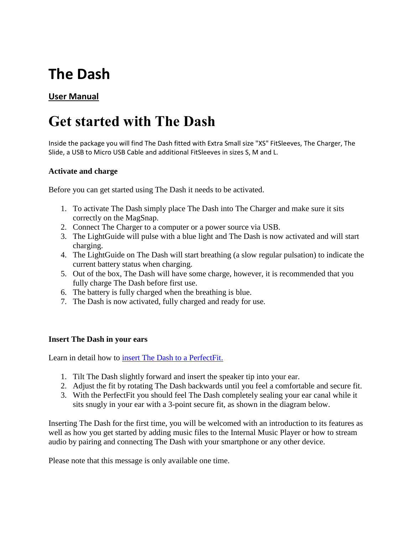# **The Dash**

## **User Manual**

## **Get started with The Dash**

Inside the package you will find The Dash fitted with Extra Small size "XS" FitSleeves, The Charger, The Slide, a USB to Micro USB Cable and additional FitSleeves in sizes S, M and L.

## **Activate and charge**

Before you can get started using The Dash it needs to be activated.

- 1. To activate The Dash simply place The Dash into The Charger and make sure it sits correctly on the MagSnap.
- 2. Connect The Charger to a computer or a power source via USB.
- 3. The LightGuide will pulse with a blue light and The Dash is now activated and will start charging.
- 4. The LightGuide on The Dash will start breathing (a slow regular pulsation) to indicate the current battery status when charging.
- 5. Out of the box, The Dash will have some charge, however, it is recommended that you fully charge The Dash before first use.
- 6. The battery is fully charged when the breathing is blue.
- 7. The Dash is now activated, fully charged and ready for use.

### **Insert The Dash in your ears**

Learn in detail how to [insert The Dash to a PerfectFit.](https://support.bragi.com/hc/en-us/articles/204992391-Insert-The-Dash-to-a-PerfectFit)

- 1. Tilt The Dash slightly forward and insert the speaker tip into your ear.
- 2. Adjust the fit by rotating The Dash backwards until you feel a comfortable and secure fit.
- 3. With the PerfectFit you should feel The Dash completely sealing your ear canal while it sits snugly in your ear with a 3-point secure fit, as shown in the diagram below.

Inserting The Dash for the first time, you will be welcomed with an introduction to its features as well as how you get started by adding music files to the Internal Music Player or how to stream audio by pairing and connecting The Dash with your smartphone or any other device.

Please note that this message is only available one time.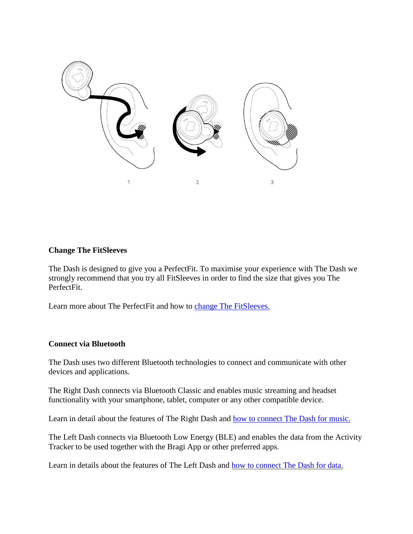

## **Change The FitSleeves**

The Dash is designed to give you a PerfectFit. To maximise your experience with The Dash we strongly recommend that you try all FitSleeves in order to find the size that gives you The PerfectFit.

Learn more about The PerfectFit and how to [change The FitSleeves.](https://support.bragi.com/hc/en-us/articles/203178321-Change-The-FitSleeves)

### **Connect via Bluetooth**

The Dash uses two different Bluetooth technologies to connect and communicate with other devices and applications.

The Right Dash connects via Bluetooth Classic and enables music streaming and headset functionality with your smartphone, tablet, computer or any other compatible device.

Learn in detail about the features of The Right Dash and **how to connect The Dash for music.** 

The Left Dash connects via Bluetooth Low Energy (BLE) and enables the data from the Activity Tracker to be used together with the Bragi App or other preferred apps.

Learn in details about the features of The Left Dash and [how to connect The Dash for data.](https://support.bragi.com/hc/en-us/articles/206861679-Connect-The-Dash-to-use-sensory-and-activity-data)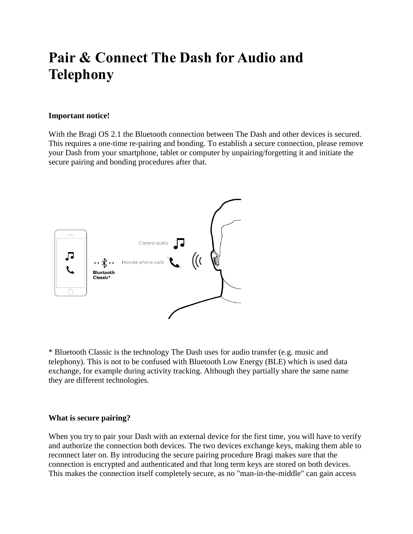## **Pair & Connect The Dash for Audio and Telephony**

#### **Important notice!**

With the Bragi OS 2.1 the Bluetooth connection between The Dash and other devices is secured. This requires a one-time re-pairing and bonding. To establish a secure connection, please remove your Dash from your smartphone, tablet or computer by unpairing/forgetting it and initiate the secure pairing and bonding procedures after that.



\* Bluetooth Classic is the technology The Dash uses for audio transfer (e.g. music and telephony). This is not to be confused with Bluetooth Low Energy (BLE) which is used data exchange, for example during activity tracking. Although they partially share the same name they are different technologies.

#### **What is secure pairing?**

When you try to pair your Dash with an external device for the first time, you will have to verify and authorize the connection both devices. The two devices exchange keys, making them able to reconnect later on. By introducing the secure pairing procedure Bragi makes sure that the connection is encrypted and authenticated and that long term keys are stored on both devices. This makes the connection itself completely secure, as no "man-in-the-middle" can gain access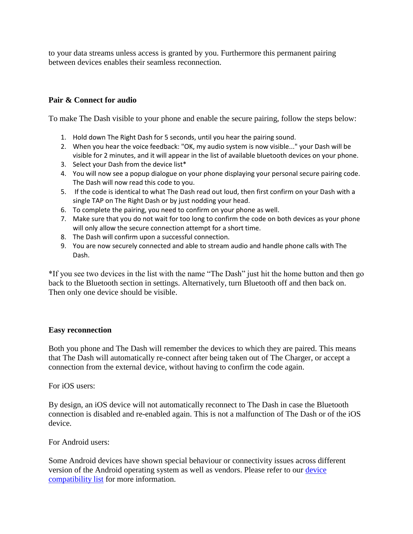to your data streams unless access is granted by you. Furthermore this permanent pairing between devices enables their seamless reconnection.

## **Pair & Connect for audio**

To make The Dash visible to your phone and enable the secure pairing, follow the steps below:

- 1. Hold down The Right Dash for 5 seconds, until you hear the pairing sound.
- 2. When you hear the voice feedback: "OK, my audio system is now visible..." your Dash will be visible for 2 minutes, and it will appear in the list of available bluetooth devices on your phone.
- 3. Select your Dash from the device list\*
- 4. You will now see a popup dialogue on your phone displaying your personal secure pairing code. The Dash will now read this code to you.
- 5. If the code is identical to what The Dash read out loud, then first confirm on your Dash with a single TAP on The Right Dash or by just nodding your head.
- 6. To complete the pairing, you need to confirm on your phone as well.
- 7. Make sure that you do not wait for too long to confirm the code on both devices as your phone will only allow the secure connection attempt for a short time.
- 8. The Dash will confirm upon a successful connection.
- 9. You are now securely connected and able to stream audio and handle phone calls with The Dash.

\*If you see two devices in the list with the name "The Dash" just hit the home button and then go back to the Bluetooth section in settings. Alternatively, turn Bluetooth off and then back on. Then only one device should be visible.

## **Easy reconnection**

Both you phone and The Dash will remember the devices to which they are paired. This means that The Dash will automatically re-connect after being taken out of The Charger, or accept a connection from the external device, without having to confirm the code again.

For iOS users:

By design, an iOS device will not automatically reconnect to The Dash in case the Bluetooth connection is disabled and re-enabled again. This is not a malfunction of The Dash or of the iOS device.

For Android users:

Some Android devices have shown special behaviour or connectivity issues across different version of the Android operating system as well as vendors. Please refer to our [device](https://support.bragi.com/hc/en-us/articles/207550915)  [compatibility list](https://support.bragi.com/hc/en-us/articles/207550915) for more information.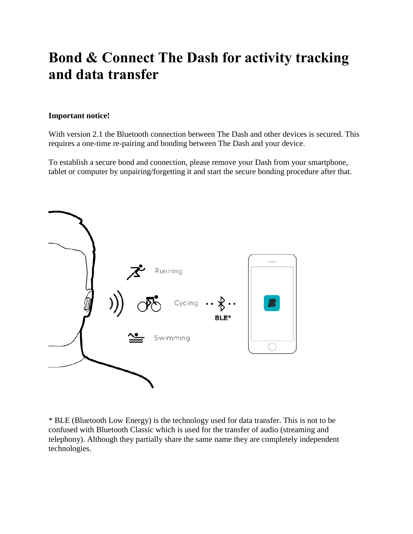## **Bond & Connect The Dash for activity tracking and data transfer**

### **Important notice!**

With version 2.1 the Bluetooth connection between The Dash and other devices is secured. This requires a one-time re-pairing and bonding between The Dash and your device.

To establish a secure bond and connection, please remove your Dash from your smartphone, tablet or computer by unpairing/forgetting it and start the secure bonding procedure after that.



\* BLE (Bluetooth Low Energy) is the technology used for data transfer. This is not to be confused with Bluetooth Classic which is used for the transfer of audio (streaming and telephony). Although they partially share the same name they are completely independent technologies.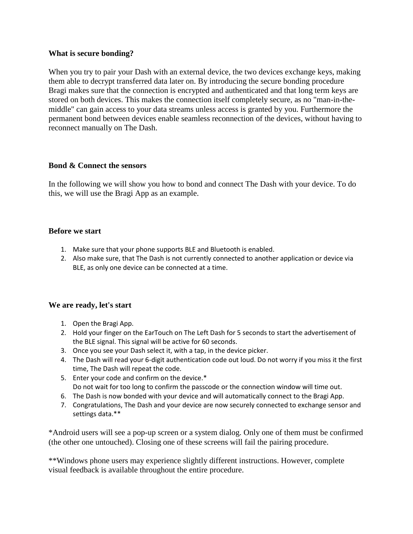### **What is secure bonding?**

When you try to pair your Dash with an external device, the two devices exchange keys, making them able to decrypt transferred data later on. By introducing the secure bonding procedure Bragi makes sure that the connection is encrypted and authenticated and that long term keys are stored on both devices. This makes the connection itself completely secure, as no "man-in-themiddle" can gain access to your data streams unless access is granted by you. Furthermore the permanent bond between devices enable seamless reconnection of the devices, without having to reconnect manually on The Dash.

## **Bond & Connect the sensors**

In the following we will show you how to bond and connect The Dash with your device. To do this, we will use the Bragi App as an example.

## **Before we start**

- 1. Make sure that your phone supports BLE and Bluetooth is enabled.
- 2. Also make sure, that The Dash is not currently connected to another application or device via BLE, as only one device can be connected at a time.

## **We are ready, let's start**

- 1. Open the Bragi App.
- 2. Hold your finger on the EarTouch on The Left Dash for 5 seconds to start the advertisement of the BLE signal. This signal will be active for 60 seconds.
- 3. Once you see your Dash select it, with a tap, in the device picker.
- 4. The Dash will read your 6-digit authentication code out loud. Do not worry if you miss it the first time, The Dash will repeat the code.
- 5. Enter your code and confirm on the device.\* Do not wait for too long to confirm the passcode or the connection window will time out.
- 6. The Dash is now bonded with your device and will automatically connect to the Bragi App.
- 7. Congratulations, The Dash and your device are now securely connected to exchange sensor and settings data.\*\*

\*Android users will see a pop-up screen or a system dialog. Only one of them must be confirmed (the other one untouched). Closing one of these screens will fail the pairing procedure.

\*\*Windows phone users may experience slightly different instructions. However, complete visual feedback is available throughout the entire procedure.